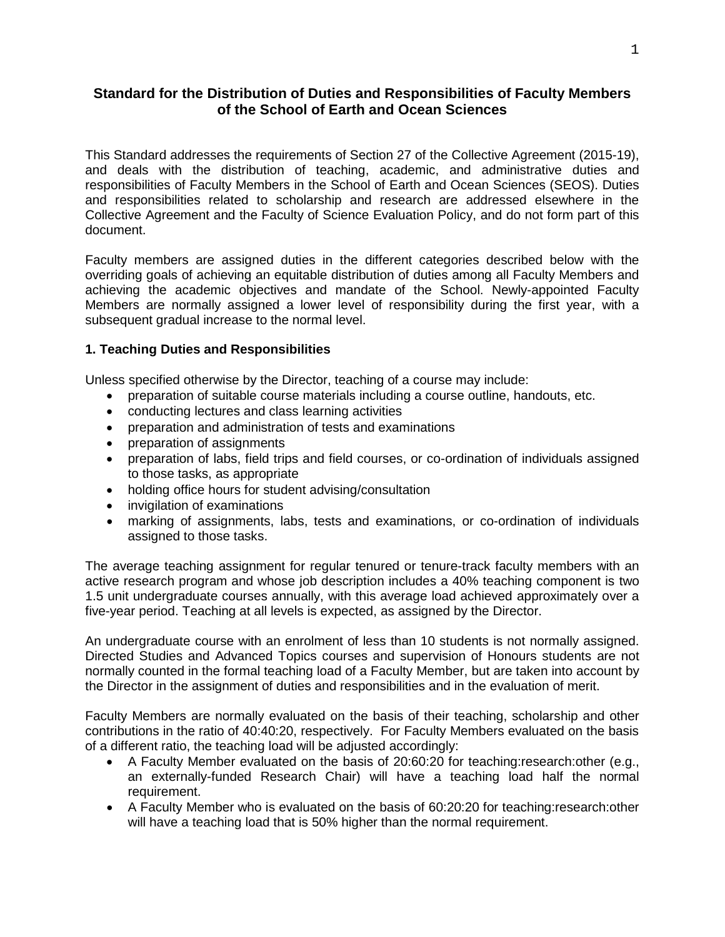# **Standard for the Distribution of Duties and Responsibilities of Faculty Members of the School of Earth and Ocean Sciences**

This Standard addresses the requirements of Section 27 of the Collective Agreement (2015-19), and deals with the distribution of teaching, academic, and administrative duties and responsibilities of Faculty Members in the School of Earth and Ocean Sciences (SEOS). Duties and responsibilities related to scholarship and research are addressed elsewhere in the Collective Agreement and the Faculty of Science Evaluation Policy, and do not form part of this document.

Faculty members are assigned duties in the different categories described below with the overriding goals of achieving an equitable distribution of duties among all Faculty Members and achieving the academic objectives and mandate of the School. Newly-appointed Faculty Members are normally assigned a lower level of responsibility during the first year, with a subsequent gradual increase to the normal level.

### **1. Teaching Duties and Responsibilities**

Unless specified otherwise by the Director, teaching of a course may include:

- preparation of suitable course materials including a course outline, handouts, etc.
- conducting lectures and class learning activities
- preparation and administration of tests and examinations
- preparation of assignments
- preparation of labs, field trips and field courses, or co-ordination of individuals assigned to those tasks, as appropriate
- holding office hours for student advising/consultation
- invigilation of examinations
- marking of assignments, labs, tests and examinations, or co-ordination of individuals assigned to those tasks.

The average teaching assignment for regular tenured or tenure-track faculty members with an active research program and whose job description includes a 40% teaching component is two 1.5 unit undergraduate courses annually, with this average load achieved approximately over a five-year period. Teaching at all levels is expected, as assigned by the Director.

An undergraduate course with an enrolment of less than 10 students is not normally assigned. Directed Studies and Advanced Topics courses and supervision of Honours students are not normally counted in the formal teaching load of a Faculty Member, but are taken into account by the Director in the assignment of duties and responsibilities and in the evaluation of merit.

Faculty Members are normally evaluated on the basis of their teaching, scholarship and other contributions in the ratio of 40:40:20, respectively. For Faculty Members evaluated on the basis of a different ratio, the teaching load will be adjusted accordingly:

- A Faculty Member evaluated on the basis of 20:60:20 for teaching:research:other (e.g., an externally-funded Research Chair) will have a teaching load half the normal requirement.
- A Faculty Member who is evaluated on the basis of 60:20:20 for teaching:research:other will have a teaching load that is 50% higher than the normal requirement.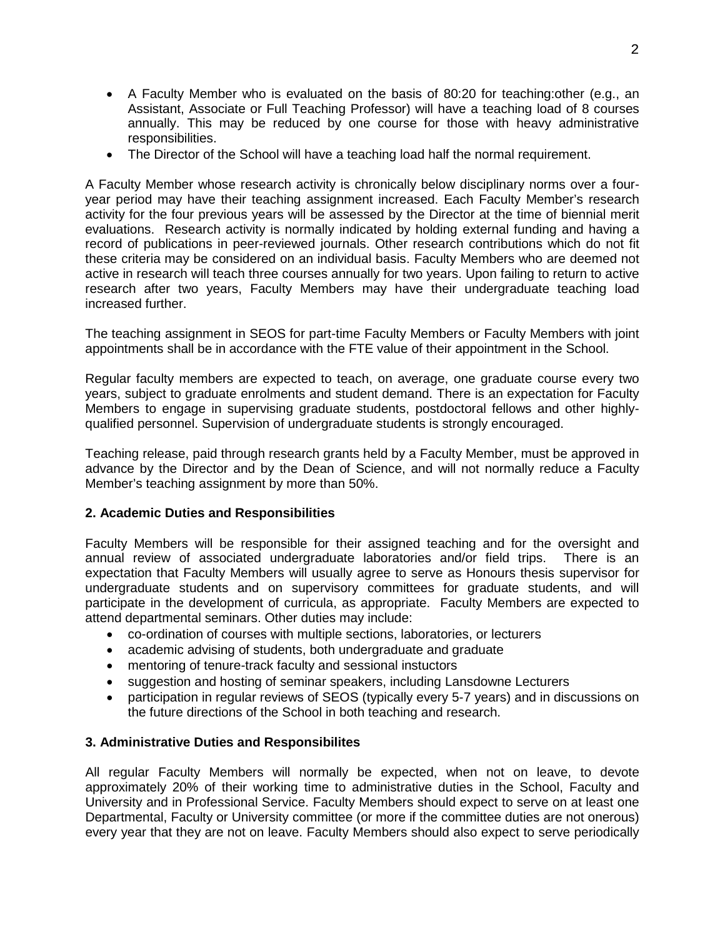- A Faculty Member who is evaluated on the basis of 80:20 for teaching:other (e.g., an Assistant, Associate or Full Teaching Professor) will have a teaching load of 8 courses annually. This may be reduced by one course for those with heavy administrative responsibilities.
- The Director of the School will have a teaching load half the normal requirement.

A Faculty Member whose research activity is chronically below disciplinary norms over a fouryear period may have their teaching assignment increased. Each Faculty Member's research activity for the four previous years will be assessed by the Director at the time of biennial merit evaluations. Research activity is normally indicated by holding external funding and having a record of publications in peer-reviewed journals. Other research contributions which do not fit these criteria may be considered on an individual basis. Faculty Members who are deemed not active in research will teach three courses annually for two years. Upon failing to return to active research after two years, Faculty Members may have their undergraduate teaching load increased further.

The teaching assignment in SEOS for part-time Faculty Members or Faculty Members with joint appointments shall be in accordance with the FTE value of their appointment in the School.

Regular faculty members are expected to teach, on average, one graduate course every two years, subject to graduate enrolments and student demand. There is an expectation for Faculty Members to engage in supervising graduate students, postdoctoral fellows and other highlyqualified personnel. Supervision of undergraduate students is strongly encouraged.

Teaching release, paid through research grants held by a Faculty Member, must be approved in advance by the Director and by the Dean of Science, and will not normally reduce a Faculty Member's teaching assignment by more than 50%.

#### **2. Academic Duties and Responsibilities**

Faculty Members will be responsible for their assigned teaching and for the oversight and annual review of associated undergraduate laboratories and/or field trips. There is an expectation that Faculty Members will usually agree to serve as Honours thesis supervisor for undergraduate students and on supervisory committees for graduate students, and will participate in the development of curricula, as appropriate. Faculty Members are expected to attend departmental seminars. Other duties may include:

- co-ordination of courses with multiple sections, laboratories, or lecturers
- academic advising of students, both undergraduate and graduate
- mentoring of tenure-track faculty and sessional instuctors
- suggestion and hosting of seminar speakers, including Lansdowne Lecturers
- participation in regular reviews of SEOS (typically every 5-7 years) and in discussions on the future directions of the School in both teaching and research.

#### **3. Administrative Duties and Responsibilites**

All regular Faculty Members will normally be expected, when not on leave, to devote approximately 20% of their working time to administrative duties in the School, Faculty and University and in Professional Service. Faculty Members should expect to serve on at least one Departmental, Faculty or University committee (or more if the committee duties are not onerous) every year that they are not on leave. Faculty Members should also expect to serve periodically